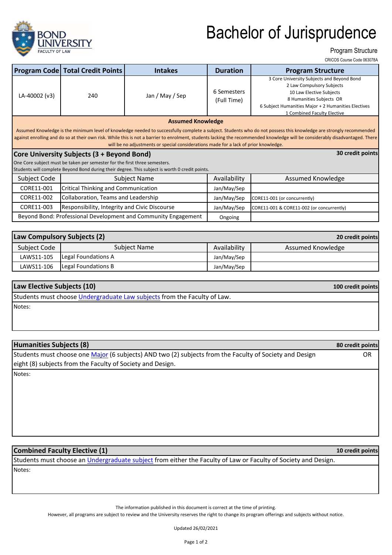

## Bachelor of Jurisprudence

Program Structure

CRICOS Course Code 063078A

**10 credit points**

|                                                                                                                                                                                                                                                                                                                                                                                                                                             | <b>Program Code Total Credit Points</b>       | <b>Intakes</b>                                                 | <b>Duration</b>            | <b>Program Structure</b>                                                                                                                                                                                              |  |  |  |
|---------------------------------------------------------------------------------------------------------------------------------------------------------------------------------------------------------------------------------------------------------------------------------------------------------------------------------------------------------------------------------------------------------------------------------------------|-----------------------------------------------|----------------------------------------------------------------|----------------------------|-----------------------------------------------------------------------------------------------------------------------------------------------------------------------------------------------------------------------|--|--|--|
| LA-40002 (v3)                                                                                                                                                                                                                                                                                                                                                                                                                               | 240                                           | Jan / May / Sep                                                | 6 Semesters<br>(Full Time) | 3 Core University Subjects and Beyond Bond<br>2 Law Compulsory Subjects<br>10 Law Elective Subjects<br>8 Humanities Subjects OR<br>6 Subject Humanities Major + 2 Humanities Electives<br>1 Combined Faculty Elective |  |  |  |
| <b>Assumed Knowledge</b>                                                                                                                                                                                                                                                                                                                                                                                                                    |                                               |                                                                |                            |                                                                                                                                                                                                                       |  |  |  |
| Assumed Knowledge is the minimum level of knowledge needed to successfully complete a subject. Students who do not possess this knowledge are strongly recommended<br>against enrolling and do so at their own risk. While this is not a barrier to enrolment, students lacking the recommended knowledge will be considerably disadvantaged. There<br>will be no adjustments or special considerations made for a lack of prior knowledge. |                                               |                                                                |                            |                                                                                                                                                                                                                       |  |  |  |
| 30 credit points<br>Core University Subjects (3 + Beyond Bond)                                                                                                                                                                                                                                                                                                                                                                              |                                               |                                                                |                            |                                                                                                                                                                                                                       |  |  |  |
| One Core subject must be taken per semester for the first three semesters.<br>Students will complete Beyond Bond during their degree. This subject is worth 0 credit points.                                                                                                                                                                                                                                                                |                                               |                                                                |                            |                                                                                                                                                                                                                       |  |  |  |
| Subject Code                                                                                                                                                                                                                                                                                                                                                                                                                                | Subject Name                                  |                                                                | Availability               | Assumed Knowledge                                                                                                                                                                                                     |  |  |  |
| CORE11-001                                                                                                                                                                                                                                                                                                                                                                                                                                  | <b>Critical Thinking and Communication</b>    |                                                                | Jan/May/Sep                |                                                                                                                                                                                                                       |  |  |  |
| CORE11-002                                                                                                                                                                                                                                                                                                                                                                                                                                  | Collaboration, Teams and Leadership           |                                                                | Jan/May/Sep                | CORE11-001 (or concurrently)                                                                                                                                                                                          |  |  |  |
| CORE11-003                                                                                                                                                                                                                                                                                                                                                                                                                                  | Responsibility, Integrity and Civic Discourse |                                                                | Jan/May/Sep                | CORE11-001 & CORE11-002 (or concurrently)                                                                                                                                                                             |  |  |  |
|                                                                                                                                                                                                                                                                                                                                                                                                                                             |                                               | Beyond Bond: Professional Development and Community Engagement | Ongoing                    |                                                                                                                                                                                                                       |  |  |  |

| Law Compulsory Subjects (2)<br>20 credit points |                     |              |                   |  |
|-------------------------------------------------|---------------------|--------------|-------------------|--|
| Subject Code                                    | Subject Name        | Availability | Assumed Knowledge |  |
| LAWS11-105                                      | Legal Foundations A | Jan/May/Sep  |                   |  |
| LAWS11-106                                      | Legal Foundations B | Jan/May/Sep  |                   |  |

| Law Elective Subjects (10)                                               | 100 credit points |  |  |
|--------------------------------------------------------------------------|-------------------|--|--|
| Students must choose Undergraduate Law subjects from the Faculty of Law. |                   |  |  |
|                                                                          |                   |  |  |

Notes:

| 80 credit points |
|------------------|
| OR.              |
|                  |
|                  |
|                  |
|                  |
|                  |
|                  |
|                  |

## **Combined Faculty Elective (1)**

Notes: Students must choose an Undergraduate subject from either the Faculty of Law or Faculty of Society and Design.

The information published in this document is correct at the time of printing.

However, all programs are subject to review and the University reserves the right to change its program offerings and subjects without notice.

Updated 26/02/2021